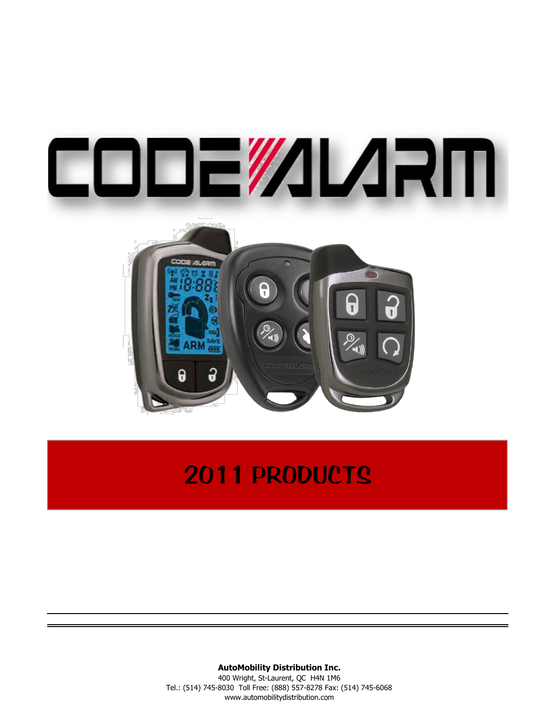

# 2011 PRODUCTS

# **AutoMobility Distribution Inc.**

400 Wright, St-Laurent, QC H4N 1M6 Tel.: (514) 745-8030 Toll Free: (888) 557-8278 Fax: (514) 745-6068 www.automobilitydistribution.com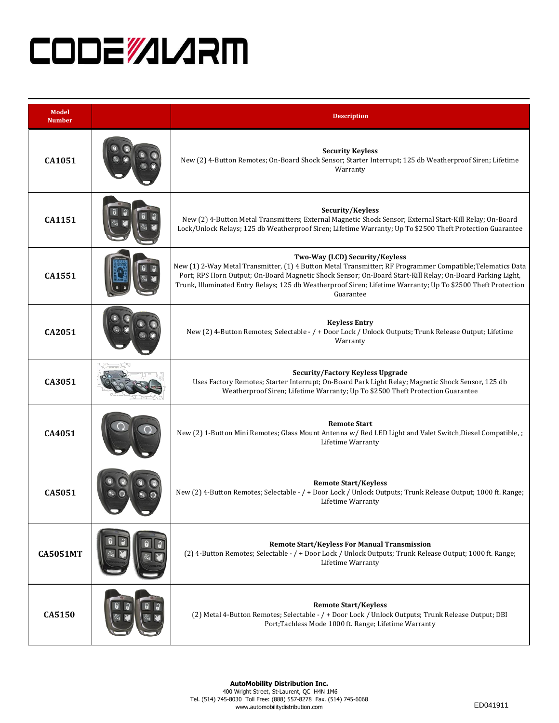# **CODEWILARM**

| <b>Model</b><br><b>Number</b> | <b>Description</b>                                                                                                                                                                                                                                                                                                                                                                     |
|-------------------------------|----------------------------------------------------------------------------------------------------------------------------------------------------------------------------------------------------------------------------------------------------------------------------------------------------------------------------------------------------------------------------------------|
| CA1051                        | <b>Security Keyless</b><br>New (2) 4-Button Remotes; On-Board Shock Sensor; Starter Interrupt; 125 db Weatherproof Siren; Lifetime<br>Warranty                                                                                                                                                                                                                                         |
| CA1151                        | Security/Keyless<br>New (2) 4-Button Metal Transmitters; External Magnetic Shock Sensor; External Start-Kill Relay; On-Board<br>Lock/Unlock Relays; 125 db Weatherproof Siren; Lifetime Warranty; Up To \$2500 Theft Protection Guarantee                                                                                                                                              |
| CA1551                        | Two-Way (LCD) Security/Keyless<br>New (1) 2-Way Metal Transmitter, (1) 4 Button Metal Transmitter; RF Programmer Compatible; Telematics Data<br>Port; RPS Horn Output; On-Board Magnetic Shock Sensor; On-Board Start-Kill Relay; On-Board Parking Light,<br>Trunk, Illuminated Entry Relays; 125 db Weatherproof Siren; Lifetime Warranty; Up To \$2500 Theft Protection<br>Guarantee |
| CA2051                        | <b>Keyless Entry</b><br>New (2) 4-Button Remotes; Selectable - / + Door Lock / Unlock Outputs; Trunk Release Output; Lifetime<br>Warranty                                                                                                                                                                                                                                              |
| CA3051                        | <b>Security/Factory Keyless Upgrade</b><br>Uses Factory Remotes; Starter Interrupt; On-Board Park Light Relay; Magnetic Shock Sensor, 125 db<br>Weatherproof Siren; Lifetime Warranty; Up To \$2500 Theft Protection Guarantee                                                                                                                                                         |
| CA4051                        | <b>Remote Start</b><br>New (2) 1-Button Mini Remotes; Glass Mount Antenna w/ Red LED Light and Valet Switch, Diesel Compatible, ;<br>Lifetime Warranty                                                                                                                                                                                                                                 |
| CA5051                        | <b>Remote Start/Keyless</b><br>New (2) 4-Button Remotes; Selectable - / + Door Lock / Unlock Outputs; Trunk Release Output; 1000 ft. Range;<br>Lifetime Warranty                                                                                                                                                                                                                       |
| <b>CA5051MT</b>               | <b>Remote Start/Keyless For Manual Transmission</b><br>(2) 4-Button Remotes; Selectable - / + Door Lock / Unlock Outputs; Trunk Release Output; 1000 ft. Range;<br>Lifetime Warranty                                                                                                                                                                                                   |
| CA5150                        | <b>Remote Start/Keyless</b><br>(2) Metal 4-Button Remotes; Selectable - / + Door Lock / Unlock Outputs; Trunk Release Output; DBI<br>Port; Tachless Mode 1000 ft. Range; Lifetime Warranty                                                                                                                                                                                             |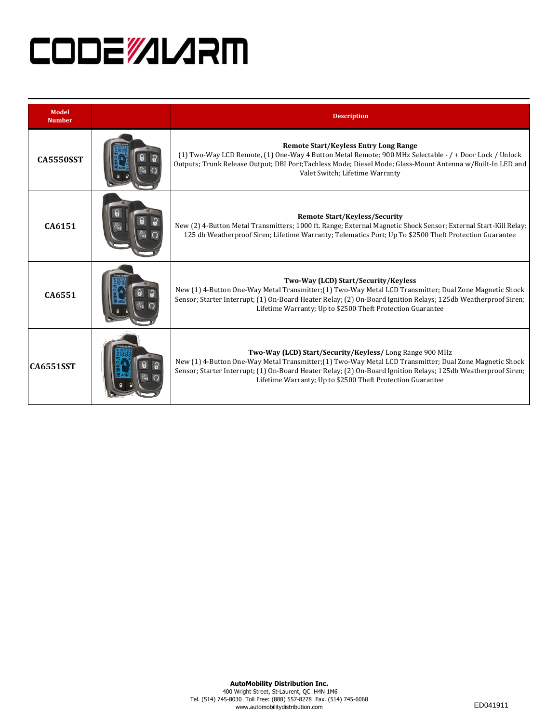# **CODEWILARM**

| <b>Model</b><br><b>Number</b> | <b>Description</b>                                                                                                                                                                                                                                                                                                                                |
|-------------------------------|---------------------------------------------------------------------------------------------------------------------------------------------------------------------------------------------------------------------------------------------------------------------------------------------------------------------------------------------------|
| <b>CA5550SST</b>              | <b>Remote Start/Keyless Entry Long Range</b><br>(1) Two-Way LCD Remote, (1) One-Way 4 Button Metal Remote; 900 MHz Selectable - / + Door Lock / Unlock<br>Outputs; Trunk Release Output; DBI Port; Tachless Mode; Diesel Mode; Glass-Mount Antenna w/Built-In LED and<br>Valet Switch; Lifetime Warranty                                          |
| CA6151                        | <b>Remote Start/Keyless/Security</b><br>New (2) 4-Button Metal Transmitters; 1000 ft. Range; External Magnetic Shock Sensor; External Start-Kill Relay;<br>125 db Weatherproof Siren; Lifetime Warranty; Telematics Port; Up To \$2500 Theft Protection Guarantee                                                                                 |
| CA6551                        | Two-Way (LCD) Start/Security/Keyless<br>New (1) 4-Button One-Way Metal Transmitter; (1) Two-Way Metal LCD Transmitter; Dual Zone Magnetic Shock<br>Sensor; Starter Interrupt; (1) On-Board Heater Relay; (2) On-Board Ignition Relays; 125db Weatherproof Siren;<br>Lifetime Warranty; Up to \$2500 Theft Protection Guarantee                    |
| <b>CA6551SST</b>              | Two-Way (LCD) Start/Security/Keyless/Long Range 900 MHz<br>New (1) 4-Button One-Way Metal Transmitter; (1) Two-Way Metal LCD Transmitter; Dual Zone Magnetic Shock<br>Sensor; Starter Interrupt; (1) On-Board Heater Relay; (2) On-Board Ignition Relays; 125db Weatherproof Siren;<br>Lifetime Warranty; Up to \$2500 Theft Protection Guarantee |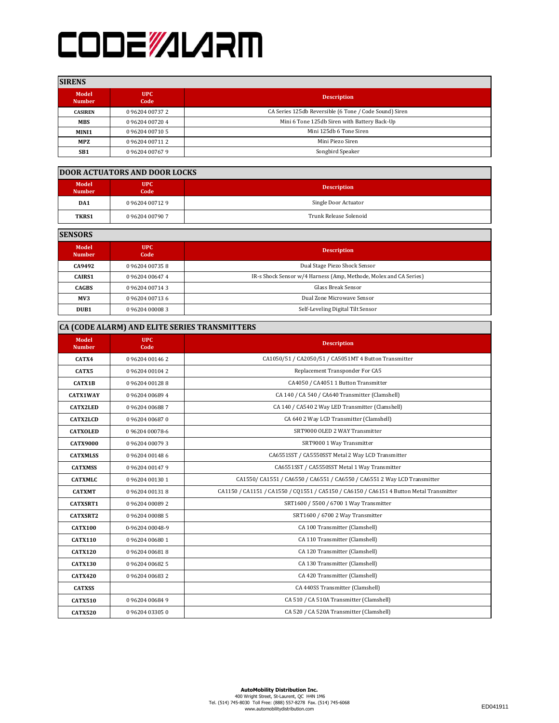# **CODEWILARM**

### **SIRENS**

| вимим                  |                    |                                                        |
|------------------------|--------------------|--------------------------------------------------------|
| Model<br><b>Number</b> | <b>UPC</b><br>Code | <b>Description</b>                                     |
| <b>CASIREN</b>         | 0 96204 00737 2    | CA Series 125db Reversible (6 Tone / Code Sound) Siren |
| <b>MBS</b>             | 096204007204       | Mini 6 Tone 125db Siren with Battery Back-Up           |
| MINI1                  | 096204 00710 5     | Mini 125db 6 Tone Siren                                |
| MPZ                    | 0 96204 00711 2    | Mini Piezo Siren                                       |
| SB <sub>1</sub>        | 096204007679       | Songbird Speaker                                       |

#### **DOOR ACTUATORS AND DOOR LOCKS**

| Model<br><b>Number</b> | <b>UPC</b><br>Code | <b>Description</b>     |
|------------------------|--------------------|------------------------|
| DA1                    | 096204007129       | Single Door Actuator   |
| <b>TKRS1</b>           | 096204007907       | Trunk Release Solenoid |

**SENSORS**

| Model<br><b>Number</b> | UPC<br>Code     | <b>Description</b>                                                |
|------------------------|-----------------|-------------------------------------------------------------------|
| CA9492                 | 096204007358    | Dual Stage Piezo Shock Sensor                                     |
| <b>CAIRS1</b>          | 0 96204 00647 4 | IR-s Shock Sensor w/4 Harness (Amp, Methode, Molex and CA Series) |
| <b>CAGBS</b>           | 0 96204 00714 3 | <b>Glass Break Sensor</b>                                         |
| MV3                    | 0 96204 00713 6 | Dual Zone Microwave Sensor                                        |
| DUB <sub>1</sub>       | 096204000083    | Self-Leveling Digital Tilt Sensor                                 |

# **CA (CODE ALARM) AND ELITE SERIES TRANSMITTERS**

| Model<br><b>Number</b> | <b>UPC</b><br>Code | <b>Description</b>                                                                      |
|------------------------|--------------------|-----------------------------------------------------------------------------------------|
| CATX4                  | 096204001462       | CA1050/51 / CA2050/51 / CA5051MT 4 Button Transmitter                                   |
| CATX5                  | 096204001042       | Replacement Transponder For CA5                                                         |
| <b>CATX1B</b>          | 096204001288       | CA4050 / CA4051 1 Button Transmitter                                                    |
| <b>CATX1WAY</b>        | 096204006894       | CA 140 / CA 540 / CA640 Transmitter (Clamshell)                                         |
| <b>CATX2LED</b>        | 096204006887       | CA 140 / CA540 2 Way LED Transmitter (Clamshell)                                        |
| <b>CATX2LCD</b>        | 096204006870       | CA 640 2 Way LCD Transmitter (Clamshell)                                                |
| <b>CATXOLED</b>        | 09620400078-6      | SRT9000 OLED 2 WAY Transmitter                                                          |
| <b>CATX9000</b>        | 096204000793       | SRT9000 1 Way Transmitter                                                               |
| <b>CATXMLSS</b>        | 096204001486       | CA6551SST / CA5550SST Metal 2 Way LCD Transmitter                                       |
| <b>CATXMSS</b>         | 096204001479       | CA6551SST / CA5550SST Metal 1 Way Transmitter                                           |
| <b>CATXMLC</b>         | 0 96204 00130 1    | CA1550/ CA1551 / CA6550 / CA6551 / CA6550 / CA6551 2 Way LCD Transmitter                |
| <b>CATXMT</b>          | 096204001318       | CA1150 / CA1151 / CA1550 / CQ1551 / CA5150 / CA6150 / CA6151 4 Button Metal Transmitter |
| <b>CATXSRT1</b>        | 0 96204 00089 2    | SRT1600 / 5500 / 6700 1 Way Transmitter                                                 |
| CATXSRT2               | 096204000885       | SRT1600 / 6700 2 Way Transmitter                                                        |
| <b>CATX100</b>         | 0-96204 00048-9    | CA 100 Transmitter (Clamshell)                                                          |
| <b>CATX110</b>         | 096204006801       | CA 110 Transmitter (Clamshell)                                                          |
| <b>CATX120</b>         | 096204006818       | CA 120 Transmitter (Clamshell)                                                          |
| <b>CATX130</b>         | 096204006825       | CA 130 Transmitter (Clamshell)                                                          |
| <b>CATX420</b>         | 096204006832       | CA 420 Transmitter (Clamshell)                                                          |
| <b>CATXSS</b>          |                    | CA 440SS Transmitter (Clamshell)                                                        |
| <b>CATX510</b>         | 096204006849       | CA 510 / CA 510A Transmitter (Clamshell)                                                |
| <b>CATX520</b>         | 096204033050       | CA 520 / CA 520A Transmitter (Clamshell)                                                |